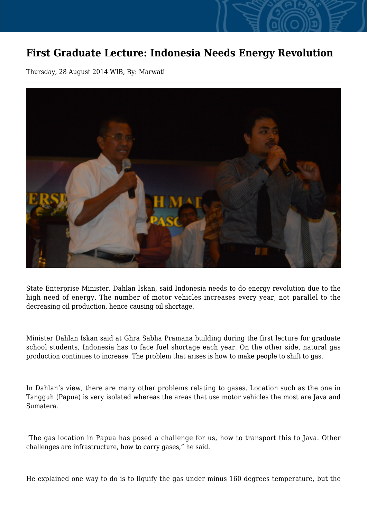## **First Graduate Lecture: Indonesia Needs Energy Revolution**

Thursday, 28 August 2014 WIB, By: Marwati



State Enterprise Minister, Dahlan Iskan, said Indonesia needs to do energy revolution due to the high need of energy. The number of motor vehicles increases every year, not parallel to the decreasing oil production, hence causing oil shortage.

Minister Dahlan Iskan said at Ghra Sabha Pramana building during the first lecture for graduate school students, Indonesia has to face fuel shortage each year. On the other side, natural gas production continues to increase. The problem that arises is how to make people to shift to gas.

In Dahlan's view, there are many other problems relating to gases. Location such as the one in Tangguh (Papua) is very isolated whereas the areas that use motor vehicles the most are Java and Sumatera.

"The gas location in Papua has posed a challenge for us, how to transport this to Java. Other challenges are infrastructure, how to carry gases," he said.

He explained one way to do is to liquify the gas under minus 160 degrees temperature, but the